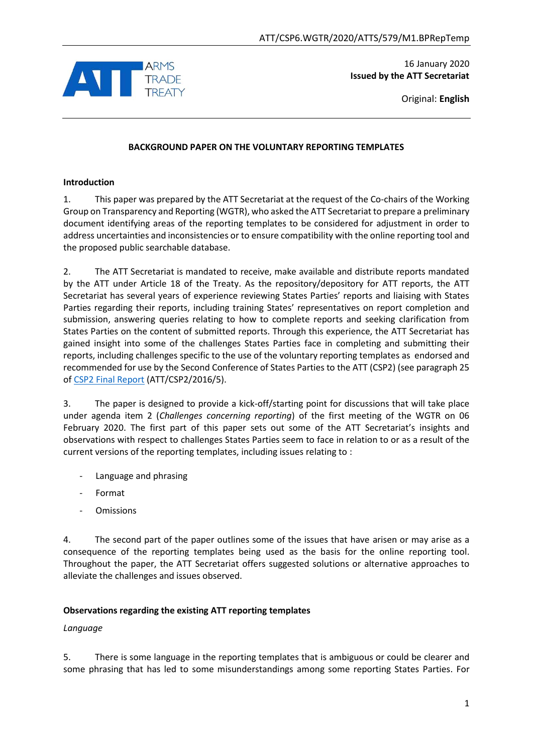

16 January 2020 **Issued by the ATT Secretariat**

Original: **English**

## **BACKGROUND PAPER ON THE VOLUNTARY REPORTING TEMPLATES**

## **Introduction**

1. This paper was prepared by the ATT Secretariat at the request of the Co-chairs of the Working Group on Transparency and Reporting (WGTR), who asked the ATT Secretariat to prepare a preliminary document identifying areas of the reporting templates to be considered for adjustment in order to address uncertainties and inconsistencies or to ensure compatibility with the online reporting tool and the proposed public searchable database.

2. The ATT Secretariat is mandated to receive, make available and distribute reports mandated by the ATT under Article 18 of the Treaty. As the repository/depository for ATT reports, the ATT Secretariat has several years of experience reviewing States Parties' reports and liaising with States Parties regarding their reports, including training States' representatives on report completion and submission, answering queries relating to how to complete reports and seeking clarification from States Parties on the content of submitted reports. Through this experience, the ATT Secretariat has gained insight into some of the challenges States Parties face in completing and submitting their reports, including challenges specific to the use of the voluntary reporting templates as endorsed and recommended for use by the Second Conference of States Parties to the ATT (CSP2) (see paragraph 25 o[f CSP2 Final Report](https://www.thearmstradetreaty.org/hyper-images/file/Final_Report_ATT_CSP2_2016_5/Final_Report_ATT_CSP2_2016_5.pdf) (ATT/CSP2/2016/5).

3. The paper is designed to provide a kick-off/starting point for discussions that will take place under agenda item 2 (*Challenges concerning reporting*) of the first meeting of the WGTR on 06 February 2020. The first part of this paper sets out some of the ATT Secretariat's insights and observations with respect to challenges States Parties seem to face in relation to or as a result of the current versions of the reporting templates, including issues relating to :

- Language and phrasing
- Format
- **Omissions**

4. The second part of the paper outlines some of the issues that have arisen or may arise as a consequence of the reporting templates being used as the basis for the online reporting tool. Throughout the paper, the ATT Secretariat offers suggested solutions or alternative approaches to alleviate the challenges and issues observed.

## **Observations regarding the existing ATT reporting templates**

## *Language*

5. There is some language in the reporting templates that is ambiguous or could be clearer and some phrasing that has led to some misunderstandings among some reporting States Parties. For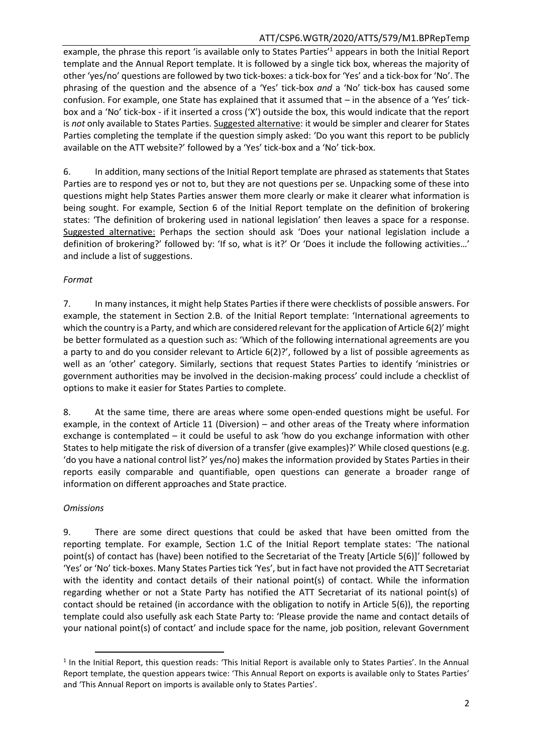## ATT/CSP6.WGTR/2020/ATTS/579/M1.BPRepTemp

example, the phrase this report 'is available only to States Parties<sup>1</sup> appears in both the Initial Report template and the Annual Report template. It is followed by a single tick box, whereas the majority of other 'yes/no' questions are followed by two tick-boxes: a tick-box for 'Yes' and a tick-box for 'No'. The phrasing of the question and the absence of a 'Yes' tick-box *and* a 'No' tick-box has caused some confusion. For example, one State has explained that it assumed that – in the absence of a 'Yes' tickbox and a 'No' tick-box - if it inserted a cross ('X') outside the box, this would indicate that the report is *not* only available to States Parties. Suggested alternative: it would be simpler and clearer for States Parties completing the template if the question simply asked: 'Do you want this report to be publicly available on the ATT website?' followed by a 'Yes' tick-box and a 'No' tick-box.

6. In addition, many sections of the Initial Report template are phrased as statements that States Parties are to respond yes or not to, but they are not questions per se. Unpacking some of these into questions might help States Parties answer them more clearly or make it clearer what information is being sought. For example, Section 6 of the Initial Report template on the definition of brokering states: 'The definition of brokering used in national legislation' then leaves a space for a response. Suggested alternative: Perhaps the section should ask 'Does your national legislation include a definition of brokering?' followed by: 'If so, what is it?' Or 'Does it include the following activities…' and include a list of suggestions.

#### *Format*

7. In many instances, it might help States Parties if there were checklists of possible answers. For example, the statement in Section 2.B. of the Initial Report template: 'International agreements to which the country is a Party, and which are considered relevant for the application of Article 6(2)' might be better formulated as a question such as: 'Which of the following international agreements are you a party to and do you consider relevant to Article 6(2)?', followed by a list of possible agreements as well as an 'other' category. Similarly, sections that request States Parties to identify 'ministries or government authorities may be involved in the decision-making process' could include a checklist of options to make it easier for States Parties to complete.

8. At the same time, there are areas where some open-ended questions might be useful. For example, in the context of Article 11 (Diversion) – and other areas of the Treaty where information exchange is contemplated – it could be useful to ask 'how do you exchange information with other States to help mitigate the risk of diversion of a transfer (give examples)?' While closed questions (e.g. 'do you have a national control list?' yes/no) makes the information provided by States Parties in their reports easily comparable and quantifiable, open questions can generate a broader range of information on different approaches and State practice.

#### *Omissions*

 $\overline{\phantom{a}}$ 

9. There are some direct questions that could be asked that have been omitted from the reporting template. For example, Section 1.C of the Initial Report template states: 'The national point(s) of contact has (have) been notified to the Secretariat of the Treaty [Article 5(6)]' followed by 'Yes' or 'No' tick-boxes. Many States Parties tick 'Yes', but in fact have not provided the ATT Secretariat with the identity and contact details of their national point(s) of contact. While the information regarding whether or not a State Party has notified the ATT Secretariat of its national point(s) of contact should be retained (in accordance with the obligation to notify in Article 5(6)), the reporting template could also usefully ask each State Party to: 'Please provide the name and contact details of your national point(s) of contact' and include space for the name, job position, relevant Government

<sup>&</sup>lt;sup>1</sup> In the Initial Report, this question reads: 'This Initial Report is available only to States Parties'. In the Annual Report template, the question appears twice: 'This Annual Report on exports is available only to States Parties' and 'This Annual Report on imports is available only to States Parties'.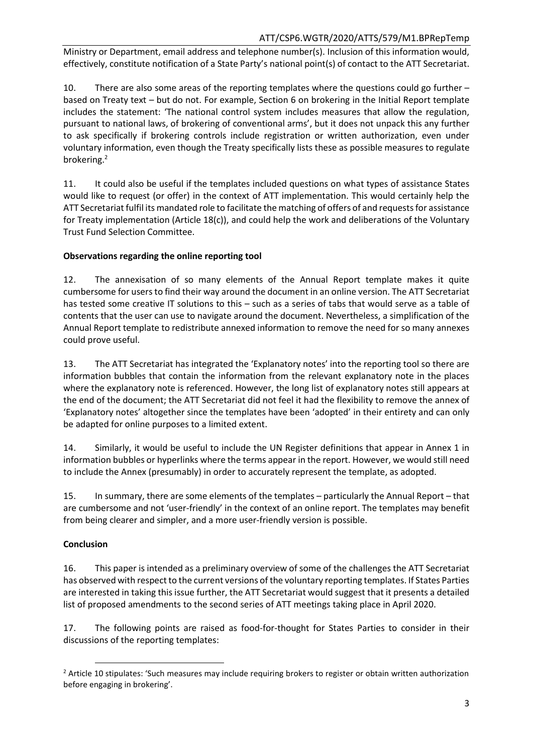## ATT/CSP6.WGTR/2020/ATTS/579/M1.BPRepTemp

Ministry or Department, email address and telephone number(s). Inclusion of this information would, effectively, constitute notification of a State Party's national point(s) of contact to the ATT Secretariat.

10. There are also some areas of the reporting templates where the questions could go further – based on Treaty text – but do not. For example, Section 6 on brokering in the Initial Report template includes the statement: 'The national control system includes measures that allow the regulation, pursuant to national laws, of brokering of conventional arms', but it does not unpack this any further to ask specifically if brokering controls include registration or written authorization, even under voluntary information, even though the Treaty specifically lists these as possible measures to regulate brokering.<sup>2</sup>

11. It could also be useful if the templates included questions on what types of assistance States would like to request (or offer) in the context of ATT implementation. This would certainly help the ATT Secretariat fulfil its mandated role to facilitate the matching of offers of and requests for assistance for Treaty implementation (Article 18(c)), and could help the work and deliberations of the Voluntary Trust Fund Selection Committee.

# **Observations regarding the online reporting tool**

12. The annexisation of so many elements of the Annual Report template makes it quite cumbersome for users to find their way around the document in an online version. The ATT Secretariat has tested some creative IT solutions to this – such as a series of tabs that would serve as a table of contents that the user can use to navigate around the document. Nevertheless, a simplification of the Annual Report template to redistribute annexed information to remove the need for so many annexes could prove useful.

13. The ATT Secretariat has integrated the 'Explanatory notes' into the reporting tool so there are information bubbles that contain the information from the relevant explanatory note in the places where the explanatory note is referenced. However, the long list of explanatory notes still appears at the end of the document; the ATT Secretariat did not feel it had the flexibility to remove the annex of 'Explanatory notes' altogether since the templates have been 'adopted' in their entirety and can only be adapted for online purposes to a limited extent.

14. Similarly, it would be useful to include the UN Register definitions that appear in Annex 1 in information bubbles or hyperlinks where the terms appear in the report. However, we would still need to include the Annex (presumably) in order to accurately represent the template, as adopted.

15. In summary, there are some elements of the templates – particularly the Annual Report – that are cumbersome and not 'user-friendly' in the context of an online report. The templates may benefit from being clearer and simpler, and a more user-friendly version is possible.

# **Conclusion**

16. This paper is intended as a preliminary overview of some of the challenges the ATT Secretariat has observed with respect to the current versions of the voluntary reporting templates. If States Parties are interested in taking this issue further, the ATT Secretariat would suggest that it presents a detailed list of proposed amendments to the second series of ATT meetings taking place in April 2020.

17. The following points are raised as food-for-thought for States Parties to consider in their discussions of the reporting templates:

 $\overline{\phantom{a}}$ <sup>2</sup> Article 10 stipulates: 'Such measures may include requiring brokers to register or obtain written authorization before engaging in brokering'.